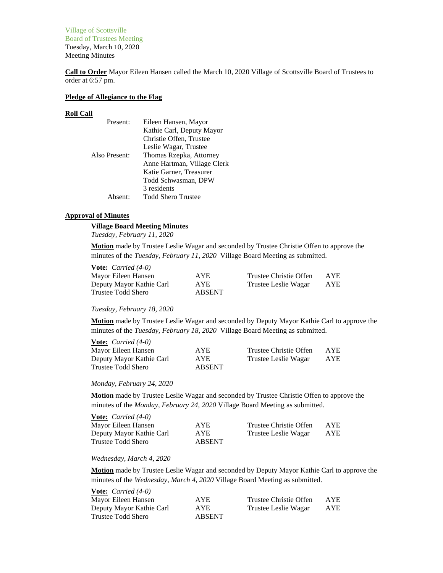Village of Scottsville Board of Trustees Meeting Tuesday, March 10, 2020 Meeting Minutes

**Call to Order** Mayor Eileen Hansen called the March 10, 2020 Village of Scottsville Board of Trustees to order at 6:57 pm.

## **Pledge of Allegiance to the Flag**

#### **Roll Call**

| Present:      | Eileen Hansen, Mayor        |
|---------------|-----------------------------|
|               | Kathie Carl, Deputy Mayor   |
|               | Christie Offen, Trustee     |
|               | Leslie Wagar, Trustee       |
| Also Present: | Thomas Rzepka, Attorney     |
|               | Anne Hartman, Village Clerk |
|               | Katie Garner, Treasurer     |
|               | Todd Schwasman, DPW         |
|               | 3 residents                 |
| Absent:       | <b>Todd Shero Trustee</b>   |

#### **Approval of Minutes**

# **Village Board Meeting Minutes**

*Tuesday, February 11, 2020*

**Motion** made by Trustee Leslie Wagar and seconded by Trustee Christie Offen to approve the minutes of the *Tuesday, February 11, 2020* Village Board Meeting as submitted.

| <b>Vote:</b> <i>Carried</i> $(4-0)$ |            |                        |      |
|-------------------------------------|------------|------------------------|------|
| Mayor Eileen Hansen                 | AYE.       | Trustee Christie Offen | AYE. |
| Deputy Mayor Kathie Carl            | <b>AYE</b> | Trustee Leslie Wagar   | AYE  |
| Trustee Todd Shero                  | ABSENT     |                        |      |

#### *Tuesday, February 18, 2020*

**Motion** made by Trustee Leslie Wagar and seconded by Deputy Mayor Kathie Carl to approve the minutes of the *Tuesday, February 18, 2020* Village Board Meeting as submitted.

| <b>Vote:</b> <i>Carried</i> $(4-0)$ |            |                        |      |
|-------------------------------------|------------|------------------------|------|
| Mayor Eileen Hansen                 | AYE.       | Trustee Christie Offen | AYE. |
| Deputy Mayor Kathie Carl            | <b>AYE</b> | Trustee Leslie Wagar   | AYE. |
| Trustee Todd Shero                  | ABSENT     |                        |      |

#### *Monday, February 24, 2020*

**Motion** made by Trustee Leslie Wagar and seconded by Trustee Christie Offen to approve the minutes of the *Monday, February 24, 2020* Village Board Meeting as submitted.

| <b>Vote:</b> <i>Carried</i> $(4-0)$ |               |                        |            |
|-------------------------------------|---------------|------------------------|------------|
| Mayor Eileen Hansen                 | AYE.          | Trustee Christie Offen | <b>AYE</b> |
| Deputy Mayor Kathie Carl            | <b>AYE</b>    | Trustee Leslie Wagar   | AYE        |
| Trustee Todd Shero                  | <b>ABSENT</b> |                        |            |

## *Wednesday, March 4, 2020*

**Motion** made by Trustee Leslie Wagar and seconded by Deputy Mayor Kathie Carl to approve the minutes of the *Wednesday, March 4, 2020* Village Board Meeting as submitted.

| <b>Vote:</b> <i>Carried</i> $(4-0)$ |               |                        |      |
|-------------------------------------|---------------|------------------------|------|
| Mayor Eileen Hansen                 | AYE.          | Trustee Christie Offen | AYE. |
| Deputy Mayor Kathie Carl            | <b>AYE</b>    | Trustee Leslie Wagar   | AYE. |
| Trustee Todd Shero                  | <b>ABSENT</b> |                        |      |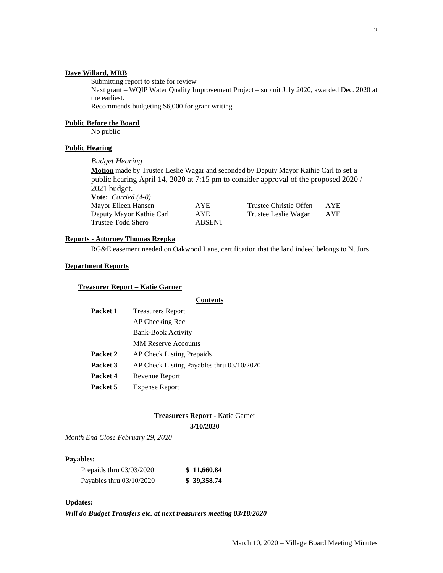# **Dave Willard, MRB**

Submitting report to state for review

Next grant – WQIP Water Quality Improvement Project – submit July 2020, awarded Dec. 2020 at the earliest.

Recommends budgeting \$6,000 for grant writing

#### **Public Before the Board**

No public

# **Public Hearing**

*Budget Hearing*

**Motion** made by Trustee Leslie Wagar and seconded by Deputy Mayor Kathie Carl to set a public hearing April 14, 2020 at 7:15 pm to consider approval of the proposed 2020 / 2021 budget. **Vote:** *Carried (4-0)*

| $\overline{V}$           |            |                        |            |
|--------------------------|------------|------------------------|------------|
| Mayor Eileen Hansen      | <b>AYE</b> | Trustee Christie Offen | <b>AYE</b> |
| Deputy Mayor Kathie Carl | <b>AYE</b> | Trustee Leslie Wagar   | AYE        |
| Trustee Todd Shero       | ABSENT     |                        |            |

# **Reports - Attorney Thomas Rzepka**

RG&E easement needed on Oakwood Lane, certification that the land indeed belongs to N. Jurs

# **Department Reports**

# **Treasurer Report – Katie Garner**

# **Contents**

| <b>Treasurers Report</b>                  |
|-------------------------------------------|
| AP Checking Rec                           |
| <b>Bank-Book Activity</b>                 |
| <b>MM Reserve Accounts</b>                |
| <b>AP Check Listing Prepaids</b>          |
| AP Check Listing Payables thru 03/10/2020 |
| Revenue Report                            |
| <b>Expense Report</b>                     |
|                                           |

# **Treasurers Report -** Katie Garner

**3/10/2020**

*Month End Close February 29, 2020*

## **Payables:**

| Prepaids thru $03/03/2020$ | \$11,660.84 |
|----------------------------|-------------|
| Payables thru 03/10/2020   | \$39,358.74 |

# **Updates:**

*Will do Budget Transfers etc. at next treasurers meeting 03/18/2020*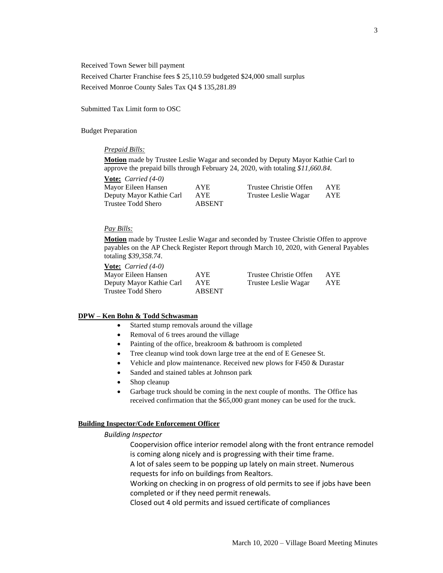Received Town Sewer bill payment

Received Charter Franchise fees \$ 25,110.59 budgeted \$24,000 small surplus Received Monroe County Sales Tax Q4 \$ 135,281.89

Submitted Tax Limit form to OSC

Budget Preparation

#### *Prepaid Bills:*

**Motion** made by Trustee Leslie Wagar and seconded by Deputy Mayor Kathie Carl to approve the prepaid bills through February 24, 2020, with totaling *\$11,660.84*.

| <b><u>Vote:</u></b> <i>Carried</i> $(4-0)$ |               |                        |      |
|--------------------------------------------|---------------|------------------------|------|
| Mayor Eileen Hansen                        | <b>AYE</b>    | Trustee Christie Offen | AYE. |
| Deputy Mayor Kathie Carl                   | AYE.          | Trustee Leslie Wagar   | AYE  |
| Trustee Todd Shero                         | <b>ABSENT</b> |                        |      |

## *Pay Bills:*

**Motion** made by Trustee Leslie Wagar and seconded by Trustee Christie Offen to approve payables on the AP Check Register Report through March 10, 2020, with General Payables totaling *\$39,358.74*.

| <b>Vote:</b> <i>Carried</i> $(4-0)$ |               |                        |            |
|-------------------------------------|---------------|------------------------|------------|
| Mayor Eileen Hansen                 | AYE.          | Trustee Christie Offen | AYE.       |
| Deputy Mayor Kathie Carl            | <b>AYE</b>    | Trustee Leslie Wagar   | <b>AYE</b> |
| Trustee Todd Shero                  | <b>ABSENT</b> |                        |            |

## **DPW – Ken Bohn & Todd Schwasman**

- Started stump removals around the village
- Removal of 6 trees around the village
- Painting of the office, breakroom & bathroom is completed
- Tree cleanup wind took down large tree at the end of E Genesee St.
- Vehicle and plow maintenance. Received new plows for F450 & Durastar
- Sanded and stained tables at Johnson park
- Shop cleanup
- Garbage truck should be coming in the next couple of months. The Office has received confirmation that the \$65,000 grant money can be used for the truck.

#### **Building Inspector/Code Enforcement Officer**

#### *Building Inspector*

Coopervision office interior remodel along with the front entrance remodel is coming along nicely and is progressing with their time frame.

A lot of sales seem to be popping up lately on main street. Numerous requests for info on buildings from Realtors.

Working on checking in on progress of old permits to see if jobs have been completed or if they need permit renewals.

Closed out 4 old permits and issued certificate of compliances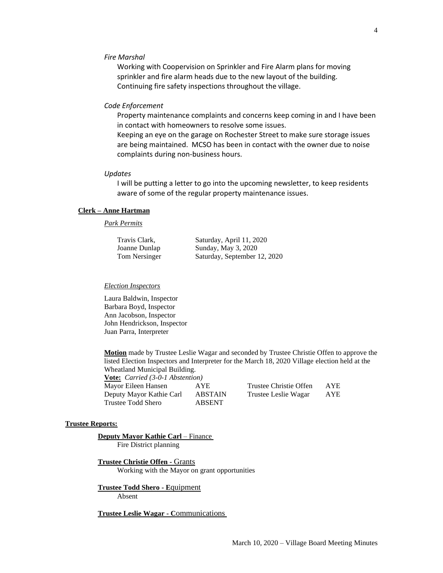#### *Fire Marshal*

Working with Coopervision on Sprinkler and Fire Alarm plans for moving sprinkler and fire alarm heads due to the new layout of the building. Continuing fire safety inspections throughout the village.

#### *Code Enforcement*

Property maintenance complaints and concerns keep coming in and I have been in contact with homeowners to resolve some issues.

Keeping an eye on the garage on Rochester Street to make sure storage issues are being maintained. MCSO has been in contact with the owner due to noise complaints during non-business hours.

#### *Updates*

I will be putting a letter to go into the upcoming newsletter, to keep residents aware of some of the regular property maintenance issues.

# **Clerk – Anne Hartman**

# *Park Permits*

| Travis Clark, | Saturday, April 11, 2020     |
|---------------|------------------------------|
| Joanne Dunlap | Sunday, May 3, 2020          |
| Tom Nersinger | Saturday, September 12, 2020 |

### *Election Inspectors*

Laura Baldwin, Inspector Barbara Boyd, Inspector Ann Jacobson, Inspector John Hendrickson, Inspector Juan Parra, Interpreter

**Motion** made by Trustee Leslie Wagar and seconded by Trustee Christie Offen to approve the listed Election Inspectors and Interpreter for the March 18, 2020 Village election held at the Wheatland Municipal Building.

**Vote:** *Carried (3-0-1 Abstention)* Mayor Eileen Hansen AYE Trustee Christie Offen AYE Deputy Mayor Kathie Carl ABSTAIN Trustee Leslie Wagar AYE Trustee Todd Shero ABSENT

| Trustee Christie Offen | <b>AYI</b> |
|------------------------|------------|
| Trustee Leslie Wagar   | AYI        |

#### **Trustee Reports:**

#### **Deputy Mayor Kathie Carl** – Finance

Fire District planning

**Trustee Christie Offen -** Grants Working with the Mayor on grant opportunities

**Trustee Todd Shero - E**quipment Absent

**Trustee Leslie Wagar - C**ommunications